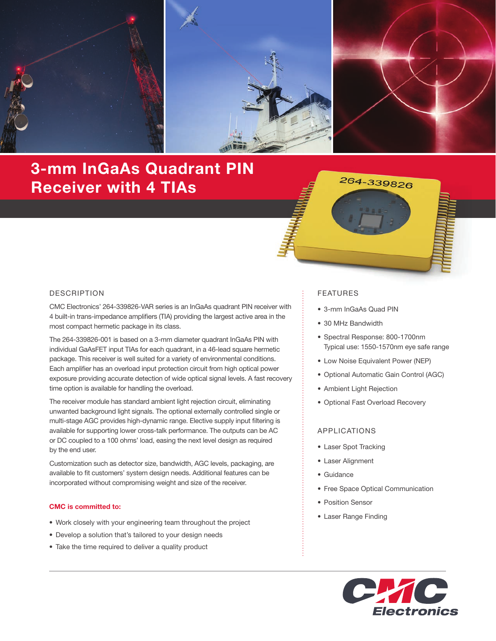

# 3-mm InGaAs Quadrant PIN Receiver with 4 TIAs



### DESCRIPTION

CMC Electronics' 264-339826-VAR series is an InGaAs quadrant PIN receiver with 4 built-in trans-impedance amplifiers (TIA) providing the largest active area in the most compact hermetic package in its class.

The 264-339826-001 is based on a 3-mm diameter quadrant InGaAs PIN with individual GaAsFET input TIAs for each quadrant, in a 46-lead square hermetic package. This receiver is well suited for a variety of environmental conditions. Each amplifier has an overload input protection circuit from high optical power exposure providing accurate detection of wide optical signal levels. A fast recovery time option is available for handling the overload.

The receiver module has standard ambient light rejection circuit, eliminating unwanted background light signals. The optional externally controlled single or multi-stage AGC provides high-dynamic range. Elective supply input filtering is available for supporting lower cross-talk performance. The outputs can be AC or DC coupled to a 100 ohms' load, easing the next level design as required by the end user.

Customization such as detector size, bandwidth, AGC levels, packaging, are available to fit customers' system design needs. Additional features can be incorporated without compromising weight and size of the receiver.

#### CMC is committed to:

- Work closely with your engineering team throughout the project
- Develop a solution that's tailored to your design needs
- Take the time required to deliver a quality product

#### FEATURES

- 3-mm InGaAs Quad PIN
- 30 MHz Bandwidth
- Spectral Response: 800-1700nm Typical use: 1550-1570nm eye safe range
- Low Noise Equivalent Power (NEP)
- Optional Automatic Gain Control (AGC)
- Ambient Light Rejection
- Optional Fast Overload Recovery

#### APPLICATIONS

- Laser Spot Tracking
- Laser Alignment
- Guidance
- Free Space Optical Communication
- Position Sensor
- Laser Range Finding